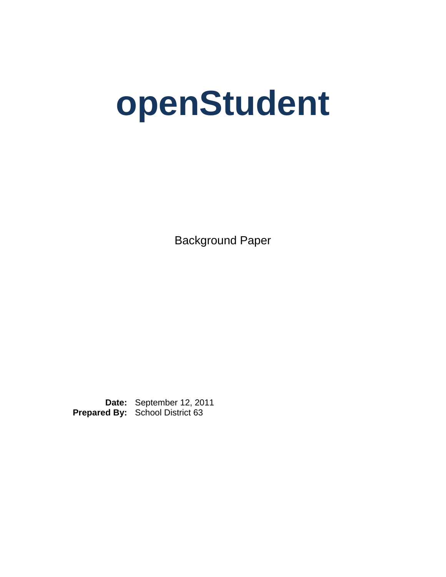# **openStudent**

Background Paper

**Date:** September 12, 2011 **Prepared By:** School District 63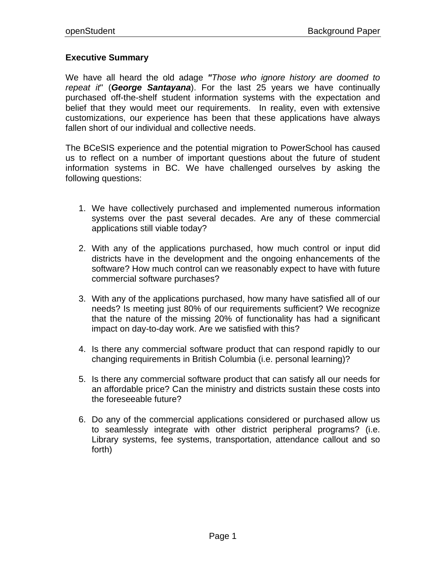## **Executive Summary**

We have all heard the old adage *"Those who ignore history are doomed to repeat it*" (*George Santayana*). For the last 25 years we have continually purchased off-the-shelf student information systems with the expectation and belief that they would meet our requirements. In reality, even with extensive customizations, our experience has been that these applications have always fallen short of our individual and collective needs.

The BCeSIS experience and the potential migration to PowerSchool has caused us to reflect on a number of important questions about the future of student information systems in BC. We have challenged ourselves by asking the following questions:

- 1. We have collectively purchased and implemented numerous information systems over the past several decades. Are any of these commercial applications still viable today?
- 2. With any of the applications purchased, how much control or input did districts have in the development and the ongoing enhancements of the software? How much control can we reasonably expect to have with future commercial software purchases?
- 3. With any of the applications purchased, how many have satisfied all of our needs? Is meeting just 80% of our requirements sufficient? We recognize that the nature of the missing 20% of functionality has had a significant impact on day-to-day work. Are we satisfied with this?
- 4. Is there any commercial software product that can respond rapidly to our changing requirements in British Columbia (i.e. personal learning)?
- 5. Is there any commercial software product that can satisfy all our needs for an affordable price? Can the ministry and districts sustain these costs into the foreseeable future?
- 6. Do any of the commercial applications considered or purchased allow us to seamlessly integrate with other district peripheral programs? (i.e. Library systems, fee systems, transportation, attendance callout and so forth)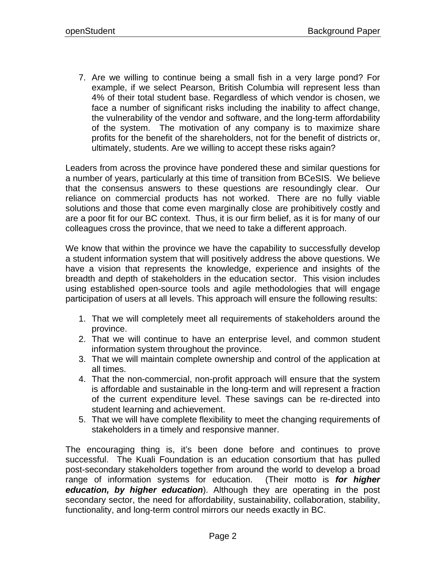7. Are we willing to continue being a small fish in a very large pond? For example, if we select Pearson, British Columbia will represent less than 4% of their total student base. Regardless of which vendor is chosen, we face a number of significant risks including the inability to affect change, the vulnerability of the vendor and software, and the long-term affordability of the system. The motivation of any company is to maximize share profits for the benefit of the shareholders, not for the benefit of districts or, ultimately, students. Are we willing to accept these risks again?

Leaders from across the province have pondered these and similar questions for a number of years, particularly at this time of transition from BCeSIS. We believe that the consensus answers to these questions are resoundingly clear. Our reliance on commercial products has not worked. There are no fully viable solutions and those that come even marginally close are prohibitively costly and are a poor fit for our BC context. Thus, it is our firm belief, as it is for many of our colleagues cross the province, that we need to take a different approach.

We know that within the province we have the capability to successfully develop a student information system that will positively address the above questions. We have a vision that represents the knowledge, experience and insights of the breadth and depth of stakeholders in the education sector. This vision includes using established open-source tools and agile methodologies that will engage participation of users at all levels. This approach will ensure the following results:

- 1. That we will completely meet all requirements of stakeholders around the province.
- 2. That we will continue to have an enterprise level, and common student information system throughout the province.
- 3. That we will maintain complete ownership and control of the application at all times.
- 4. That the non-commercial, non-profit approach will ensure that the system is affordable and sustainable in the long-term and will represent a fraction of the current expenditure level. These savings can be re-directed into student learning and achievement.
- 5. That we will have complete flexibility to meet the changing requirements of stakeholders in a timely and responsive manner.

The encouraging thing is, it's been done before and continues to prove successful. The Kuali Foundation is an education consortium that has pulled post-secondary stakeholders together from around the world to develop a broad range of information systems for education. (Their motto is *for higher education, by higher education*). Although they are operating in the post secondary sector, the need for affordability, sustainability, collaboration, stability, functionality, and long-term control mirrors our needs exactly in BC.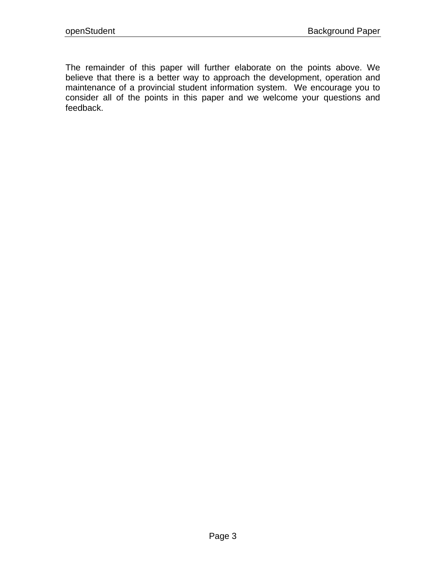The remainder of this paper will further elaborate on the points above. We believe that there is a better way to approach the development, operation and maintenance of a provincial student information system. We encourage you to consider all of the points in this paper and we welcome your questions and feedback.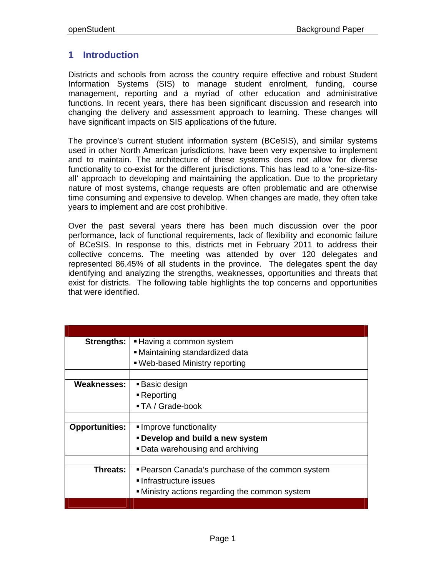# **1 Introduction**

Districts and schools from across the country require effective and robust Student Information Systems (SIS) to manage student enrolment, funding, course management, reporting and a myriad of other education and administrative functions. In recent years, there has been significant discussion and research into changing the delivery and assessment approach to learning. These changes will have significant impacts on SIS applications of the future.

The province's current student information system (BCeSIS), and similar systems used in other North American jurisdictions, have been very expensive to implement and to maintain. The architecture of these systems does not allow for diverse functionality to co-exist for the different jurisdictions. This has lead to a 'one-size-fitsall' approach to developing and maintaining the application. Due to the proprietary nature of most systems, change requests are often problematic and are otherwise time consuming and expensive to develop. When changes are made, they often take years to implement and are cost prohibitive.

Over the past several years there has been much discussion over the poor performance, lack of functional requirements, lack of flexibility and economic failure of BCeSIS. In response to this, districts met in February 2011 to address their collective concerns. The meeting was attended by over 120 delegates and represented 86.45% of all students in the province. The delegates spent the day identifying and analyzing the strengths, weaknesses, opportunities and threats that exist for districts. The following table highlights the top concerns and opportunities that were identified.

| <b>Strengths:</b>     | ■ Having a common system                         |
|-----------------------|--------------------------------------------------|
|                       | • Maintaining standardized data                  |
|                       | . Web-based Ministry reporting                   |
|                       |                                                  |
| <b>Weaknesses:</b>    | ■ Basic design                                   |
|                       | - Reporting                                      |
|                       | ■ TA / Grade-book                                |
|                       |                                                  |
| <b>Opportunities:</b> | Improve functionality                            |
|                       | <b>-Develop and build a new system</b>           |
|                       | • Data warehousing and archiving                 |
|                       |                                                  |
| Threats:              | " Pearson Canada's purchase of the common system |
|                       | ■ Infrastructure issues                          |
|                       | • Ministry actions regarding the common system   |
|                       |                                                  |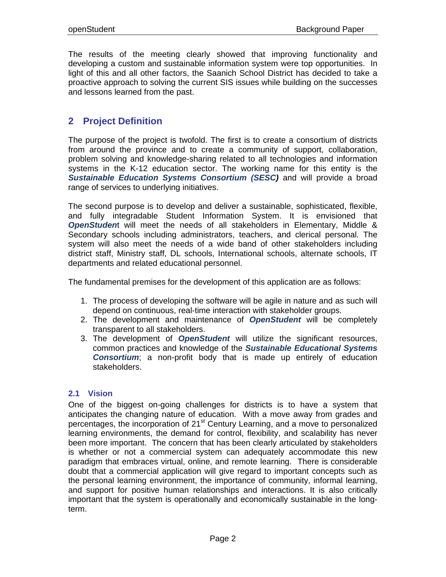The results of the meeting clearly showed that improving functionality and developing a custom and sustainable information system were top opportunities. In light of this and all other factors, the Saanich School District has decided to take a proactive approach to solving the current SIS issues while building on the successes and lessons learned from the past.

## **2 Project Definition**

The purpose of the project is twofold. The first is to create a consortium of districts from around the province and to create a community of support, collaboration, problem solving and knowledge-sharing related to all technologies and information systems in the K-12 education sector. The working name for this entity is the *Sustainable Education Systems Consortium (SESC)* and will provide a broad range of services to underlying initiatives.

The second purpose is to develop and deliver a sustainable, sophisticated, flexible, and fully integradable Student Information System. It is envisioned that *OpenStuden*t will meet the needs of all stakeholders in Elementary, Middle & Secondary schools including administrators, teachers, and clerical personal. The system will also meet the needs of a wide band of other stakeholders including district staff, Ministry staff, DL schools, International schools, alternate schools, IT departments and related educational personnel.

The fundamental premises for the development of this application are as follows:

- 1. The process of developing the software will be agile in nature and as such will depend on continuous, real-time interaction with stakeholder groups.
- 2. The development and maintenance of *OpenStudent* will be completely transparent to all stakeholders.
- 3. The development of *OpenStudent* will utilize the significant resources, common practices and knowledge of the *Sustainable Educational Systems Consortium*; a non-profit body that is made up entirely of education stakeholders.

## **2.1 Vision**

One of the biggest on-going challenges for districts is to have a system that anticipates the changing nature of education. With a move away from grades and percentages, the incorporation of 21<sup>st</sup> Century Learning, and a move to personalized learning environments, the demand for control, flexibility, and scalability has never been more important. The concern that has been clearly articulated by stakeholders is whether or not a commercial system can adequately accommodate this new paradigm that embraces virtual, online, and remote learning. There is considerable doubt that a commercial application will give regard to important concepts such as the personal learning environment, the importance of community, informal learning, and support for positive human relationships and interactions. It is also critically important that the system is operationally and economically sustainable in the longterm.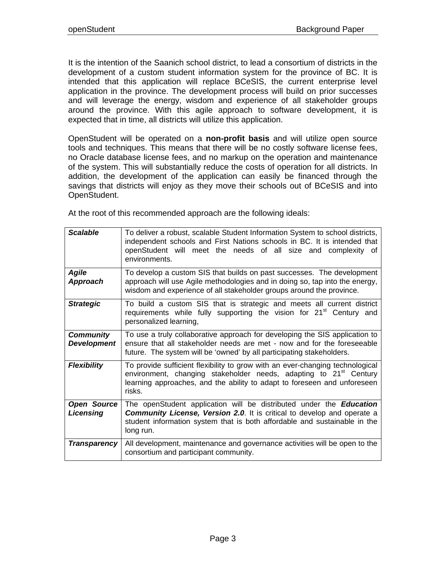It is the intention of the Saanich school district, to lead a consortium of districts in the development of a custom student information system for the province of BC. It is intended that this application will replace BCeSIS, the current enterprise level application in the province. The development process will build on prior successes and will leverage the energy, wisdom and experience of all stakeholder groups around the province. With this agile approach to software development, it is expected that in time, all districts will utilize this application.

OpenStudent will be operated on a **non-profit basis** and will utilize open source tools and techniques. This means that there will be no costly software license fees, no Oracle database license fees, and no markup on the operation and maintenance of the system. This will substantially reduce the costs of operation for all districts. In addition, the development of the application can easily be financed through the savings that districts will enjoy as they move their schools out of BCeSIS and into OpenStudent.

At the root of this recommended approach are the following ideals:

| <b>Scalable</b>                        | To deliver a robust, scalable Student Information System to school districts,<br>independent schools and First Nations schools in BC. It is intended that<br>openStudent will meet the needs of all size and complexity of<br>environments.            |
|----------------------------------------|--------------------------------------------------------------------------------------------------------------------------------------------------------------------------------------------------------------------------------------------------------|
| <b>Agile</b><br>Approach               | To develop a custom SIS that builds on past successes. The development<br>approach will use Agile methodologies and in doing so, tap into the energy,<br>wisdom and experience of all stakeholder groups around the province.                          |
| <b>Strategic</b>                       | To build a custom SIS that is strategic and meets all current district<br>requirements while fully supporting the vision for 21 <sup>st</sup> Century and<br>personalized learning,                                                                    |
| <b>Community</b><br><b>Development</b> | To use a truly collaborative approach for developing the SIS application to<br>ensure that all stakeholder needs are met - now and for the foreseeable<br>future. The system will be 'owned' by all participating stakeholders.                        |
| <b>Flexibility</b>                     | To provide sufficient flexibility to grow with an ever-changing technological<br>environment, changing stakeholder needs, adapting to 21 <sup>st</sup> Century<br>learning approaches, and the ability to adapt to foreseen and unforeseen<br>risks.   |
| <b>Open Source</b><br>Licensing        | The openStudent application will be distributed under the <b>Education</b><br><b>Community License, Version 2.0.</b> It is critical to develop and operate a<br>student information system that is both affordable and sustainable in the<br>long run. |
| <b>Transparency</b>                    | All development, maintenance and governance activities will be open to the<br>consortium and participant community.                                                                                                                                    |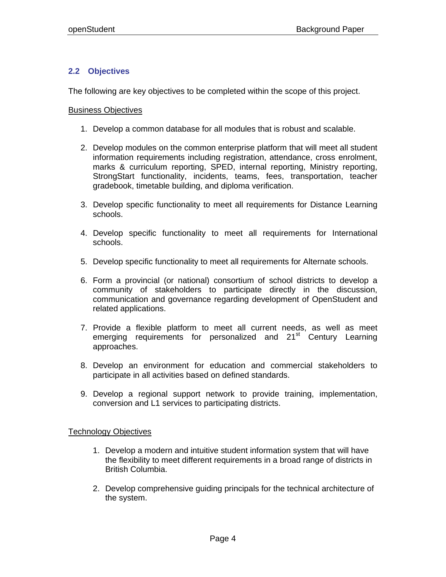## **2.2 Objectives**

The following are key objectives to be completed within the scope of this project.

### Business Objectives

- 1. Develop a common database for all modules that is robust and scalable.
- 2. Develop modules on the common enterprise platform that will meet all student information requirements including registration, attendance, cross enrolment, marks & curriculum reporting, SPED, internal reporting, Ministry reporting, StrongStart functionality, incidents, teams, fees, transportation, teacher gradebook, timetable building, and diploma verification.
- 3. Develop specific functionality to meet all requirements for Distance Learning schools.
- 4. Develop specific functionality to meet all requirements for International schools.
- 5. Develop specific functionality to meet all requirements for Alternate schools.
- 6. Form a provincial (or national) consortium of school districts to develop a community of stakeholders to participate directly in the discussion, communication and governance regarding development of OpenStudent and related applications.
- 7. Provide a flexible platform to meet all current needs, as well as meet emerging requirements for personalized and 21<sup>st</sup> Century Learning approaches.
- 8. Develop an environment for education and commercial stakeholders to participate in all activities based on defined standards.
- 9. Develop a regional support network to provide training, implementation, conversion and L1 services to participating districts.

### Technology Objectives

- 1. Develop a modern and intuitive student information system that will have the flexibility to meet different requirements in a broad range of districts in British Columbia.
- 2. Develop comprehensive guiding principals for the technical architecture of the system.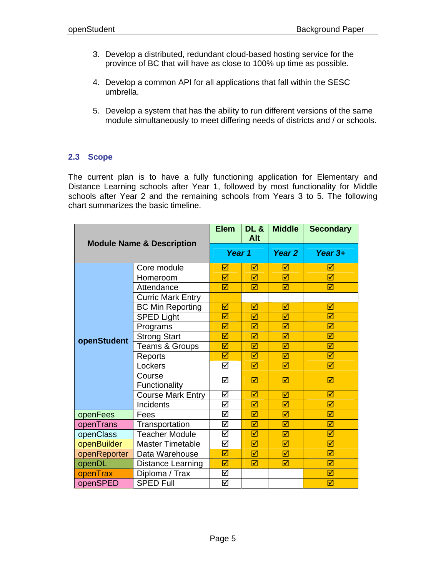- 3. Develop a distributed, redundant cloud-based hosting service for the province of BC that will have as close to 100% up time as possible.
- 4. Develop a common API for all applications that fall within the SESC umbrella.
- 5. Develop a system that has the ability to run different versions of the same module simultaneously to meet differing needs of districts and / or schools.

## **2.3 Scope**

The current plan is to have a fully functioning application for Elementary and Distance Learning schools after Year 1, followed by most functionality for Middle schools after Year 2 and the remaining schools from Years 3 to 5. The following chart summarizes the basic timeline.

| <b>Module Name &amp; Description</b> |                          | <b>Elem</b> | <b>DL &amp;</b><br>Alt | <b>Middle</b> | <b>Secondary</b> |
|--------------------------------------|--------------------------|-------------|------------------------|---------------|------------------|
|                                      |                          | Year 1      |                        | Year 2        | Year $3+$        |
|                                      | Core module              | ☑           | ⊠                      | ⊠             | ☑                |
|                                      | Homeroom                 | ⊠           | ⊠                      | ⊠             | ⊠                |
|                                      | Attendance               | ☑           | ⊠                      | ⊠             | ⊠                |
|                                      | <b>Curric Mark Entry</b> |             |                        |               |                  |
|                                      | <b>BC Min Reporting</b>  | ☑           | ⊠                      | ☑             | ☑                |
|                                      | <b>SPED Light</b>        | ☑           | ☑                      | ☑             | ☑                |
|                                      | Programs                 | ☑           | ⊠                      | ⊠             | ☑                |
| openStudent                          | <b>Strong Start</b>      | ☑           | ⊠                      | ☑             | ☑                |
|                                      | Teams & Groups           | ☑           | ⊠                      | ⊠             | ⊠                |
|                                      | Reports                  | ☑           | ☑                      | ☑             | ☑                |
|                                      | Lockers                  | ☑           | ☑                      | ⊠             | ☑                |
|                                      | Course<br>Functionality  | ☑           | ☑                      | ☑             | ☑                |
|                                      | <b>Course Mark Entry</b> | ☑           | ⊠                      | ⊠             | ⊠                |
|                                      | Incidents                | ☑           | ⊠                      | ☑             | ☑                |
| openFees                             | Fees                     | ☑           | ☑                      | ☑             | ☑                |
| openTrans                            | Transportation           | ☑           | ⊠                      | ⊠             | ⊠                |
| openClass                            | <b>Teacher Module</b>    | ☑           | ☑                      | ☑             | ☑                |
| openBuilder                          | <b>Master Timetable</b>  | ☑           | ⊠                      | ☑             | ☑                |
| openReporter                         | Data Warehouse           | ☑           | ☑                      | ☑             | ☑                |
| openDL                               | Distance Learning        | ☑           | ☑                      | ☑             | ☑                |
| openTrax                             | Diploma / Trax           | ☑           |                        |               | ☑                |
| openSPED                             | <b>SPED Full</b>         | ☑           |                        |               | ☑                |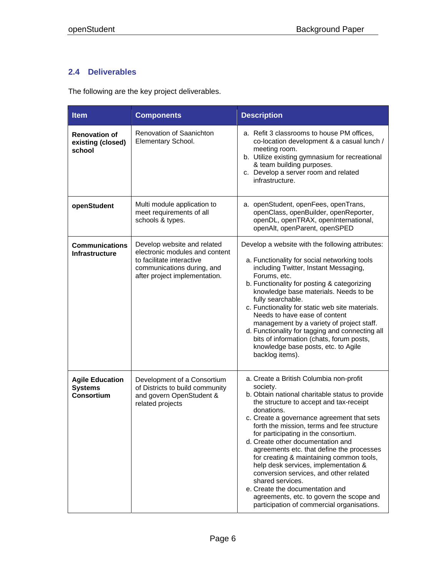## **2.4 Deliverables**

The following are the key project deliverables.

| <b>Item</b>                                                   | <b>Components</b>                                                                                                                                         | <b>Description</b>                                                                                                                                                                                                                                                                                                                                                                                                                                                                                                                                                                                                                                                   |  |  |
|---------------------------------------------------------------|-----------------------------------------------------------------------------------------------------------------------------------------------------------|----------------------------------------------------------------------------------------------------------------------------------------------------------------------------------------------------------------------------------------------------------------------------------------------------------------------------------------------------------------------------------------------------------------------------------------------------------------------------------------------------------------------------------------------------------------------------------------------------------------------------------------------------------------------|--|--|
| <b>Renovation of</b><br>existing (closed)<br>school           | Renovation of Saanichton<br>Elementary School.                                                                                                            | a. Refit 3 classrooms to house PM offices,<br>co-location development & a casual lunch /<br>meeting room.<br>b. Utilize existing gymnasium for recreational<br>& team building purposes.<br>c. Develop a server room and related<br>infrastructure.                                                                                                                                                                                                                                                                                                                                                                                                                  |  |  |
| openStudent                                                   | Multi module application to<br>meet requirements of all<br>schools & types.                                                                               | a. openStudent, openFees, openTrans,<br>openClass, openBuilder, openReporter,<br>openDL, openTRAX, openInternational,<br>openAlt, openParent, openSPED                                                                                                                                                                                                                                                                                                                                                                                                                                                                                                               |  |  |
| <b>Communications</b><br><b>Infrastructure</b>                | Develop website and related<br>electronic modules and content<br>to facilitate interactive<br>communications during, and<br>after project implementation. | Develop a website with the following attributes:<br>a. Functionality for social networking tools<br>including Twitter, Instant Messaging,<br>Forums, etc.<br>b. Functionality for posting & categorizing<br>knowledge base materials. Needs to be<br>fully searchable.<br>c. Functionality for static web site materials.<br>Needs to have ease of content<br>management by a variety of project staff.<br>d. Functionality for tagging and connecting all<br>bits of information (chats, forum posts,<br>knowledge base posts, etc. to Agile<br>backlog items).                                                                                                     |  |  |
| <b>Agile Education</b><br><b>Systems</b><br><b>Consortium</b> | Development of a Consortium<br>of Districts to build community<br>and govern OpenStudent &<br>related projects                                            | a. Create a British Columbia non-profit<br>society.<br>b. Obtain national charitable status to provide<br>the structure to accept and tax-receipt<br>donations.<br>c. Create a governance agreement that sets<br>forth the mission, terms and fee structure<br>for participating in the consortium.<br>d. Create other documentation and<br>agreements etc. that define the processes<br>for creating & maintaining common tools,<br>help desk services, implementation &<br>conversion services, and other related<br>shared services.<br>e. Create the documentation and<br>agreements, etc. to govern the scope and<br>participation of commercial organisations. |  |  |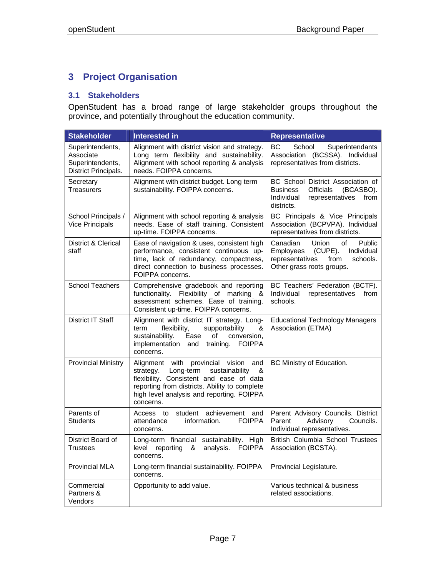# **3 Project Organisation**

## **3.1 Stakeholders**

OpenStudent has a broad range of large stakeholder groups throughout the province, and potentially throughout the education community.

| <b>Stakeholder</b>                                                        | <b>Interested in</b>                                                                                                                                                                                                                               | <b>Representative</b>                                                                                                                        |
|---------------------------------------------------------------------------|----------------------------------------------------------------------------------------------------------------------------------------------------------------------------------------------------------------------------------------------------|----------------------------------------------------------------------------------------------------------------------------------------------|
| Superintendents,<br>Associate<br>Superintendents,<br>District Principals. | Alignment with district vision and strategy.<br>Long term flexibility and sustainability.<br>Alignment with school reporting & analysis<br>needs. FOIPPA concerns.                                                                                 | BС<br>School<br>Superintendants<br>Association (BCSSA). Individual<br>representatives from districts.                                        |
| Secretary<br><b>Treasurers</b>                                            | Alignment with district budget. Long term<br>sustainability. FOIPPA concerns.                                                                                                                                                                      | BC School District Association of<br><b>Business</b><br><b>Officials</b><br>(BCASBO).<br>Individual<br>representatives<br>from<br>districts. |
| School Principals /<br><b>Vice Principals</b>                             | Alignment with school reporting & analysis<br>needs. Ease of staff training. Consistent<br>up-time. FOIPPA concerns.                                                                                                                               | BC Principals & Vice Principals<br>Association (BCPVPA). Individual<br>representatives from districts.                                       |
| District & Clerical<br>staff                                              | Ease of navigation & uses, consistent high<br>performance, consistent continuous up-<br>time, lack of redundancy, compactness,<br>direct connection to business processes.<br>FOIPPA concerns.                                                     | Canadian<br>Union<br>Public<br>οf<br>(CUPE).<br>Individual<br>Employees<br>representatives<br>schools.<br>from<br>Other grass roots groups.  |
| <b>School Teachers</b>                                                    | Comprehensive gradebook and reporting<br>functionality. Flexibility of marking &<br>assessment schemes. Ease of training.<br>Consistent up-time. FOIPPA concerns.                                                                                  | BC Teachers' Federation (BCTF).<br>Individual<br>representatives<br>from<br>schools.                                                         |
| District IT Staff                                                         | Alignment with district IT strategy. Long-<br>term<br>flexibility,<br>supportability<br>&<br>sustainability.<br>Ease<br>conversion,<br>οf<br>implementation and training.<br><b>FOIPPA</b><br>concerns.                                            | <b>Educational Technology Managers</b><br>Association (ETMA)                                                                                 |
| <b>Provincial Ministry</b>                                                | Alignment with<br>provincial vision<br>and<br>strategy.<br>Long-term<br>sustainability<br>&<br>flexibility. Consistent and ease of data<br>reporting from districts. Ability to complete<br>high level analysis and reporting. FOIPPA<br>concerns. | BC Ministry of Education.                                                                                                                    |
| Parents of<br>Students                                                    | student achievement<br>Access to<br>and<br>information.<br><b>FOIPPA</b><br>attendance<br>concerns.                                                                                                                                                | Parent Advisory Councils. District<br>Advisory<br>Councils.<br>Parent<br>Individual representatives.                                         |
| District Board of<br>Trustees                                             | Long-term financial sustainability. High<br>reporting<br>analysis. FOIPPA<br>level<br>&<br>concerns.                                                                                                                                               | British Columbia School Trustees<br>Association (BCSTA).                                                                                     |
| <b>Provincial MLA</b>                                                     | Long-term financial sustainability. FOIPPA<br>concerns.                                                                                                                                                                                            | Provincial Legislature.                                                                                                                      |
| Commercial<br>Partners &<br>Vendors                                       | Opportunity to add value.                                                                                                                                                                                                                          | Various technical & business<br>related associations.                                                                                        |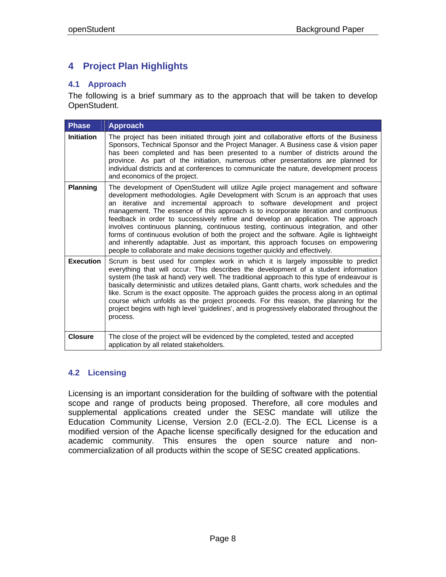# **4 Project Plan Highlights**

## **4.1 Approach**

The following is a brief summary as to the approach that will be taken to develop OpenStudent.

| <b>Phase</b>      | <b>Approach</b>                                                                                                                                                                                                                                                                                                                                                                                                                                                                                                                                                                                                                                                                                                                                                                     |
|-------------------|-------------------------------------------------------------------------------------------------------------------------------------------------------------------------------------------------------------------------------------------------------------------------------------------------------------------------------------------------------------------------------------------------------------------------------------------------------------------------------------------------------------------------------------------------------------------------------------------------------------------------------------------------------------------------------------------------------------------------------------------------------------------------------------|
| <b>Initiation</b> | The project has been initiated through joint and collaborative efforts of the Business<br>Sponsors, Technical Sponsor and the Project Manager. A Business case & vision paper<br>has been completed and has been presented to a number of districts around the<br>province. As part of the initiation, numerous other presentations are planned for<br>individual districts and at conferences to communicate the nature, development process<br>and economics of the project.                                                                                                                                                                                                                                                                                                      |
| <b>Planning</b>   | The development of OpenStudent will utilize Agile project management and software<br>development methodologies. Agile Development with Scrum is an approach that uses<br>an iterative and incremental approach to software development and project<br>management. The essence of this approach is to incorporate iteration and continuous<br>feedback in order to successively refine and develop an application. The approach<br>involves continuous planning, continuous testing, continuous integration, and other<br>forms of continuous evolution of both the project and the software. Agile is lightweight<br>and inherently adaptable. Just as important, this approach focuses on empowering<br>people to collaborate and make decisions together quickly and effectively. |
| <b>Execution</b>  | Scrum is best used for complex work in which it is largely impossible to predict<br>everything that will occur. This describes the development of a student information<br>system (the task at hand) very well. The traditional approach to this type of endeavour is<br>basically deterministic and utilizes detailed plans, Gantt charts, work schedules and the<br>like. Scrum is the exact opposite. The approach guides the process along in an optimal<br>course which unfolds as the project proceeds. For this reason, the planning for the<br>project begins with high level 'guidelines', and is progressively elaborated throughout the<br>process.                                                                                                                      |
| <b>Closure</b>    | The close of the project will be evidenced by the completed, tested and accepted<br>application by all related stakeholders.                                                                                                                                                                                                                                                                                                                                                                                                                                                                                                                                                                                                                                                        |

## **4.2 Licensing**

Licensing is an important consideration for the building of software with the potential scope and range of products being proposed. Therefore, all core modules and supplemental applications created under the SESC mandate will utilize the Education Community License, Version 2.0 (ECL-2.0). The ECL License is a modified version of the Apache license specifically designed for the education and academic community. This ensures the open source nature and noncommercialization of all products within the scope of SESC created applications.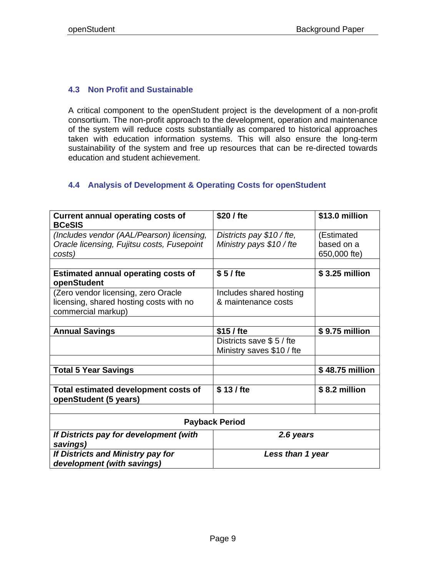## **4.3 Non Profit and Sustainable**

A critical component to the openStudent project is the development of a non-profit consortium. The non-profit approach to the development, operation and maintenance of the system will reduce costs substantially as compared to historical approaches taken with education information systems. This will also ensure the long-term sustainability of the system and free up resources that can be re-directed towards education and student achievement.

## **4.4 Analysis of Development & Operating Costs for openStudent**

| <b>Current annual operating costs of</b><br><b>BCeSIS</b>       | \$20 / fte                 | \$13.0 million  |  |
|-----------------------------------------------------------------|----------------------------|-----------------|--|
| (Includes vendor (AAL/Pearson) licensing,                       | Districts pay $$10$ / fte, | (Estimated      |  |
| Oracle licensing, Fujitsu costs, Fusepoint                      | Ministry pays \$10 / fte   | based on a      |  |
| costs)                                                          |                            | 650,000 fte)    |  |
|                                                                 |                            |                 |  |
| <b>Estimated annual operating costs of</b><br>openStudent       | \$5/fte                    | \$3.25 million  |  |
| (Zero vendor licensing, zero Oracle                             | Includes shared hosting    |                 |  |
| licensing, shared hosting costs with no<br>commercial markup)   | & maintenance costs        |                 |  |
|                                                                 |                            |                 |  |
| <b>Annual Savings</b>                                           | \$15/fte                   | \$9.75 million  |  |
|                                                                 | Districts save \$5/fte     |                 |  |
|                                                                 | Ministry saves \$10 / fte  |                 |  |
|                                                                 |                            |                 |  |
| <b>Total 5 Year Savings</b>                                     |                            | \$48.75 million |  |
|                                                                 |                            |                 |  |
| Total estimated development costs of<br>openStudent (5 years)   | \$13/fte                   | \$8.2 million   |  |
|                                                                 |                            |                 |  |
| <b>Payback Period</b>                                           |                            |                 |  |
| If Districts pay for development (with<br>2.6 years<br>savings) |                            |                 |  |
| If Districts and Ministry pay for                               | Less than 1 year           |                 |  |
| development (with savings)                                      |                            |                 |  |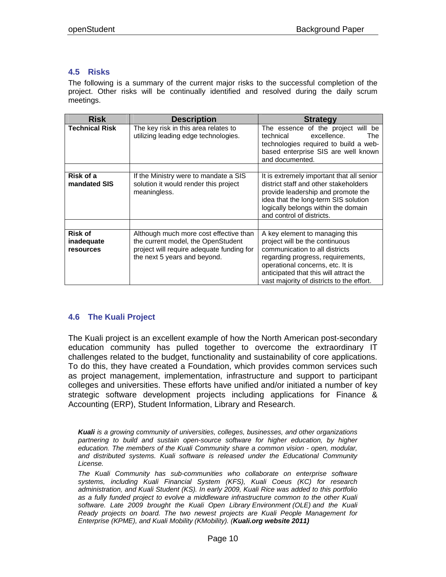## **4.5 Risks**

The following is a summary of the current major risks to the successful completion of the project. Other risks will be continually identified and resolved during the daily scrum meetings.

| <b>Risk</b>                        | <b>Description</b>                                                                                                                                        | <b>Strategy</b>                                                                                                                                                                                                                                                    |
|------------------------------------|-----------------------------------------------------------------------------------------------------------------------------------------------------------|--------------------------------------------------------------------------------------------------------------------------------------------------------------------------------------------------------------------------------------------------------------------|
| <b>Technical Risk</b>              | The key risk in this area relates to<br>utilizing leading edge technologies.                                                                              | The essence of the project will be<br>excellence.<br>technical<br><b>The</b><br>technologies required to build a web-<br>based enterprise SIS are well known<br>and documented.                                                                                    |
|                                    |                                                                                                                                                           |                                                                                                                                                                                                                                                                    |
| Risk of a<br>mandated SIS          | If the Ministry were to mandate a SIS<br>solution it would render this project<br>meaningless.                                                            | It is extremely important that all senior<br>district staff and other stakeholders<br>provide leadership and promote the<br>idea that the long-term SIS solution<br>logically belongs within the domain<br>and control of districts.                               |
|                                    |                                                                                                                                                           |                                                                                                                                                                                                                                                                    |
| Risk of<br>inadequate<br>resources | Although much more cost effective than<br>the current model, the OpenStudent<br>project will require adequate funding for<br>the next 5 years and beyond. | A key element to managing this<br>project will be the continuous<br>communication to all districts<br>regarding progress, requirements,<br>operational concerns, etc. It is<br>anticipated that this will attract the<br>vast majority of districts to the effort. |

## **4.6 The Kuali Project**

The Kuali project is an excellent example of how the North American post-secondary education community has pulled together to overcome the extraordinary IT challenges related to the budget, functionality and sustainability of core applications. To do this, they have created a Foundation, which provides common services such as project management, implementation, infrastructure and support to participant colleges and universities. These efforts have unified and/or initiated a number of key strategic software development projects including applications for Finance & Accounting (ERP), Student Information, Library and Research.

*Kuali is a growing community of universities, colleges, businesses, and other organizations*  partnering to build and sustain open-source software for higher education, by higher *education. The members of the Kuali Community share a common vision - open, modular, and distributed systems. Kuali software is released under the Educational Community License.* 

*The Kuali Community has sub-communities who collaborate on enterprise software systems, including Kuali Financial System (KFS), Kuali Coeus (KC) for research administration, and Kuali Student (KS). In early 2009, Kuali Rice was added to this portfolio*  as a fully funded project to evolve a middleware infrastructure common to the other Kuali *software. Late 2009 brought the Kuali Open Library Environment (OLE) and the Kuali Ready projects on board. The two newest projects are Kuali People Management for Enterprise (KPME), and Kuali Mobility (KMobility). (Kuali.org website 2011)*